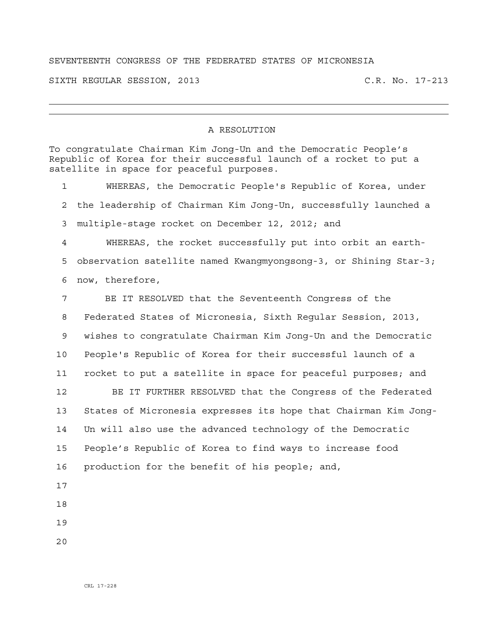## SEVENTEENTH CONGRESS OF THE FEDERATED STATES OF MICRONESIA

SIXTH REGULAR SESSION, 2013 C.R. No. 17-213

## A RESOLUTION

To congratulate Chairman Kim Jong-Un and the Democratic People's Republic of Korea for their successful launch of a rocket to put a satellite in space for peaceful purposes. 1 WHEREAS, the Democratic People's Republic of Korea, under 2 the leadership of Chairman Kim Jong-Un, successfully launched a 3 multiple-stage rocket on December 12, 2012; and 4 WHEREAS, the rocket successfully put into orbit an earth-5 observation satellite named Kwangmyongsong-3, or Shining Star-3; 6 now, therefore, 7 BE IT RESOLVED that the Seventeenth Congress of the 8 Federated States of Micronesia, Sixth Regular Session, 2013, 9 wishes to congratulate Chairman Kim Jong-Un and the Democratic 10 People's Republic of Korea for their successful launch of a 11 rocket to put a satellite in space for peaceful purposes; and 12 BE IT FURTHER RESOLVED that the Congress of the Federated 13 States of Micronesia expresses its hope that Chairman Kim Jong-14 Un will also use the advanced technology of the Democratic 15 People's Republic of Korea to find ways to increase food 16 production for the benefit of his people; and, 17 18 19 20